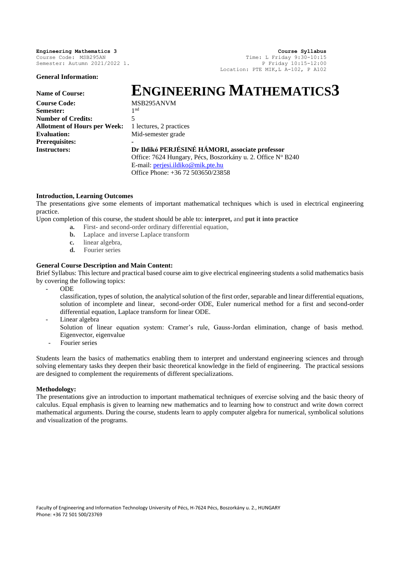Semester: Autumn 2021/2022 1.

**General Information:**

**Engineering Mathematics 3 Course Syllabus**<br> **Course Code:** MSB295AN **Course Syllabus**<br> **Course Code:** MSB295AN **Time:** L Friday 9:30-10:15 Time: L Friday  $9:30-10:15$ <br>P Friday  $10:15-12:00$ Location: PTE MIK,L A-102, P A102

# **Name of Course: ENGINEERING MATHEMATICS3**

**Course Code:** MSB295ANVM Semester<sup>.</sup> **Number of Credits:** 5 Allotment of Hours per Week: 1 lectures, 2 practices **Evaluation:** Mid-semester grade **Prerequisites: -**

1<sup>nd</sup>

**Instructors: Dr Ildikó PERJÉSINÉ HÁMORI, associate professor** Office: 7624 Hungary, Pécs, Boszorkány u. 2. Office Nº B240 E-mail: [perjesi.ildiko@mik.pte.hu](mailto:perjesi.ildiko@mik.pte.hu) Office Phone: +36 72 503650/23858

# **Introduction, Learning Outcomes**

The presentations give some elements of important mathematical techniques which is used in electrical engineering practice.

Upon completion of this course, the student should be able to: **interpret,** and **put it into practice**

- **a.** First- and second-order ordinary differential equation,
- **b.** Laplace and inverse Laplace transform
- **c.** linear algebra,
- **d.** Fourier series

# **General Course Description and Main Content:**

Brief Syllabus: This lecture and practical based course aim to give electrical engineering students a solid mathematics basis by covering the following topics:

- ODE

classification, types of solution, the analytical solution of the first order, separable and linear differential equations, solution of incomplete and linear, second-order ODE, Euler numerical method for a first and second-order differential equation, Laplace transform for linear ODE.

Linear algebra

- Solution of linear equation system: Cramer's rule, Gauss-Jordan elimination, change of basis method. Eigenvector, eigenvalue
- Fourier series

Students learn the basics of mathematics enabling them to interpret and understand engineering sciences and through solving elementary tasks they deepen their basic theoretical knowledge in the field of engineering. The practical sessions are designed to complement the requirements of different specializations.

#### **Methodology:**

The presentations give an introduction to important mathematical techniques of exercise solving and the basic theory of calculus. Equal emphasis is given to learning new mathematics and to learning how to construct and write down correct mathematical arguments. During the course, students learn to apply computer algebra for numerical, symbolical solutions and visualization of the programs.